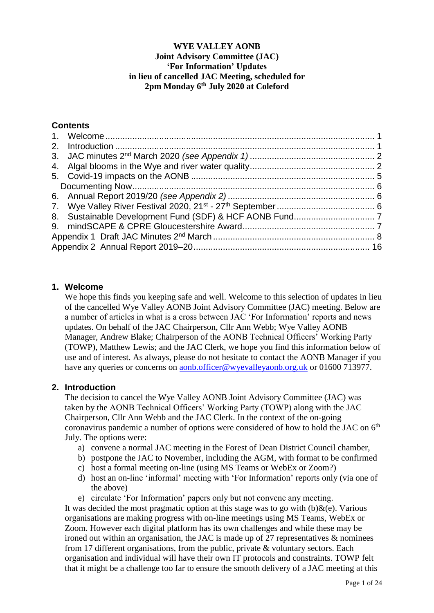## **WYE VALLEY AONB Joint Advisory Committee (JAC) 'For Information' Updates in lieu of cancelled JAC Meeting, scheduled for 2pm Monday 6th July 2020 at Coleford**

# **Contents**

## <span id="page-0-0"></span>**1. Welcome**

We hope this finds you keeping safe and well. Welcome to this selection of updates in lieu of the cancelled Wye Valley AONB Joint Advisory Committee (JAC) meeting. Below are a number of articles in what is a cross between JAC 'For Information' reports and news updates. On behalf of the JAC Chairperson, Cllr Ann Webb; Wye Valley AONB Manager, Andrew Blake; Chairperson of the AONB Technical Officers' Working Party (TOWP), Matthew Lewis; and the JAC Clerk, we hope you find this information below of use and of interest. As always, please do not hesitate to contact the AONB Manager if you have any queries or concerns on [aonb.officer@wyevalleyaonb.org.uk](mailto:aonb.officer@wyevalleyaonb.org.uk) or 01600 713977.

## <span id="page-0-1"></span>**2. Introduction**

The decision to cancel the Wye Valley AONB Joint Advisory Committee (JAC) was taken by the AONB Technical Officers' Working Party (TOWP) along with the JAC Chairperson, Cllr Ann Webb and the JAC Clerk. In the context of the on-going coronavirus pandemic a number of options were considered of how to hold the JAC on  $6<sup>th</sup>$ July. The options were:

- a) convene a normal JAC meeting in the Forest of Dean District Council chamber,
- b) postpone the JAC to November, including the AGM, with format to be confirmed
- c) host a formal meeting on-line (using MS Teams or WebEx or Zoom?)
- d) host an on-line 'informal' meeting with 'For Information' reports only (via one of the above)
- e) circulate 'For Information' papers only but not convene any meeting.

It was decided the most pragmatic option at this stage was to go with  $(b)$ &(e). Various organisations are making progress with on-line meetings using MS Teams, WebEx or Zoom. However each digital platform has its own challenges and while these may be ironed out within an organisation, the JAC is made up of 27 representatives & nominees from 17 different organisations, from the public, private & voluntary sectors. Each organisation and individual will have their own IT protocols and constraints. TOWP felt that it might be a challenge too far to ensure the smooth delivery of a JAC meeting at this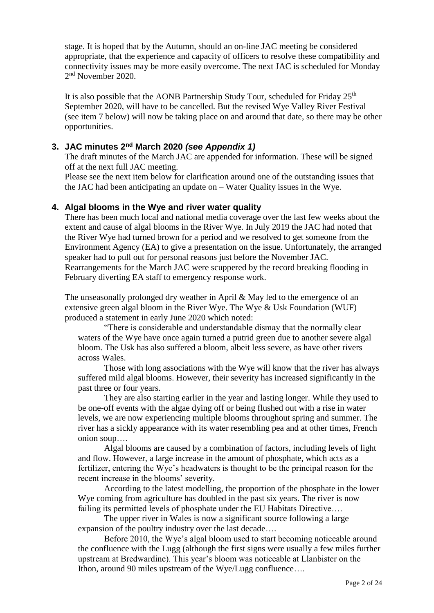stage. It is hoped that by the Autumn, should an on-line JAC meeting be considered appropriate, that the experience and capacity of officers to resolve these compatibility and connectivity issues may be more easily overcome. The next JAC is scheduled for Monday 2<sup>nd</sup> November 2020.

It is also possible that the AONB Partnership Study Tour, scheduled for Friday 25<sup>th</sup> September 2020, will have to be cancelled. But the revised Wye Valley River Festival (see item 7 below) will now be taking place on and around that date, so there may be other opportunities.

### <span id="page-1-0"></span>**3. JAC minutes 2<sup>nd</sup> March 2020** *(see Appendix 1)*

The draft minutes of the March JAC are appended for information. These will be signed off at the next full JAC meeting.

Please see the next item below for clarification around one of the outstanding issues that the JAC had been anticipating an update on – Water Quality issues in the Wye.

#### <span id="page-1-1"></span>**4. Algal blooms in the Wye and river water quality**

There has been much local and national media coverage over the last few weeks about the extent and cause of algal blooms in the River Wye. In July 2019 the JAC had noted that the River Wye had turned brown for a period and we resolved to get someone from the Environment Agency (EA) to give a presentation on the issue. Unfortunately, the arranged speaker had to pull out for personal reasons just before the November JAC. Rearrangements for the March JAC were scuppered by the record breaking flooding in February diverting EA staff to emergency response work.

The unseasonally prolonged dry weather in April & May led to the emergence of an extensive green algal bloom in the River Wye. The Wye & Usk Foundation (WUF) produced a statement in early June 2020 which noted:

"There is considerable and understandable dismay that the normally clear waters of the Wye have once again turned a putrid green due to another severe algal bloom. The Usk has also suffered a bloom, albeit less severe, as have other rivers across Wales.

Those with long associations with the Wye will know that the river has always suffered mild algal blooms. However, their severity has increased significantly in the past three or four years.

They are also starting earlier in the year and lasting longer. While they used to be one-off events with the algae dying off or being flushed out with a rise in water levels, we are now experiencing multiple blooms throughout spring and summer. The river has a sickly appearance with its water resembling pea and at other times, French onion soup….

Algal blooms are caused by a combination of factors, including levels of light and flow. However, a large increase in the amount of phosphate, which acts as a fertilizer, entering the Wye's headwaters is thought to be the principal reason for the recent increase in the blooms' severity.

According to the latest modelling, the proportion of the phosphate in the lower Wye coming from agriculture has doubled in the past six years. The river is now failing its permitted levels of phosphate under the EU Habitats Directive….

The upper river in Wales is now a significant source following a large expansion of the poultry industry over the last decade….

Before 2010, the Wye's algal bloom used to start becoming noticeable around the confluence with the Lugg (although the first signs were usually a few miles further upstream at Bredwardine). This year's bloom was noticeable at Llanbister on the Ithon, around 90 miles upstream of the Wye/Lugg confluence….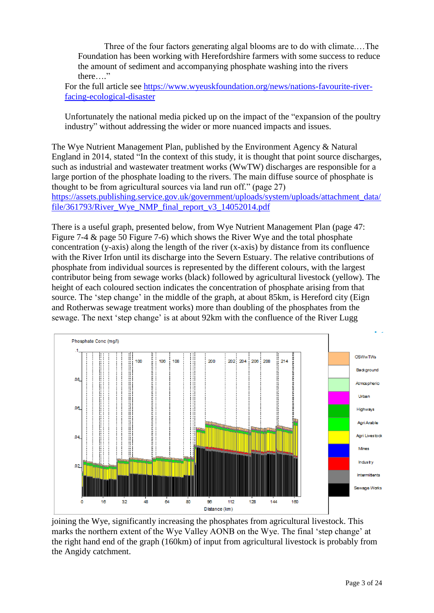Three of the four factors generating algal blooms are to do with climate.…The Foundation has been working with Herefordshire farmers with some success to reduce the amount of sediment and accompanying phosphate washing into the rivers there…."

For the full article see [https://www.wyeuskfoundation.org/news/nations-favourite-river](https://www.wyeuskfoundation.org/news/nations-favourite-river-facing-ecological-disaster)[facing-ecological-disaster](https://www.wyeuskfoundation.org/news/nations-favourite-river-facing-ecological-disaster)

Unfortunately the national media picked up on the impact of the "expansion of the poultry industry" without addressing the wider or more nuanced impacts and issues.

The Wye Nutrient Management Plan, published by the Environment Agency & Natural England in 2014, stated "In the context of this study, it is thought that point source discharges, such as industrial and wastewater treatment works (WwTW) discharges are responsible for a large portion of the phosphate loading to the rivers. The main diffuse source of phosphate is thought to be from agricultural sources via land run off." (page 27) [https://assets.publishing.service.gov.uk/government/uploads/system/uploads/attachment\\_data/](https://assets.publishing.service.gov.uk/government/uploads/system/uploads/attachment_data/file/361793/River_Wye_NMP_final_report_v3_14052014.pdf) [file/361793/River\\_Wye\\_NMP\\_final\\_report\\_v3\\_14052014.pdf](https://assets.publishing.service.gov.uk/government/uploads/system/uploads/attachment_data/file/361793/River_Wye_NMP_final_report_v3_14052014.pdf)

There is a useful graph, presented below, from Wye Nutrient Management Plan (page 47: Figure 7-4 & page 50 Figure 7-6) which shows the River Wye and the total phosphate concentration (y-axis) along the length of the river (x-axis) by distance from its confluence with the River Irfon until its discharge into the Severn Estuary. The relative contributions of phosphate from individual sources is represented by the different colours, with the largest contributor being from sewage works (black) followed by agricultural livestock (yellow). The height of each coloured section indicates the concentration of phosphate arising from that source. The 'step change' in the middle of the graph, at about 85km, is Hereford city (Eign and Rotherwas sewage treatment works) more than doubling of the phosphates from the sewage. The next 'step change' is at about 92km with the confluence of the River Lugg



joining the Wye, significantly increasing the phosphates from agricultural livestock. This marks the northern extent of the Wye Valley AONB on the Wye. The final 'step change' at the right hand end of the graph (160km) of input from agricultural livestock is probably from the Angidy catchment.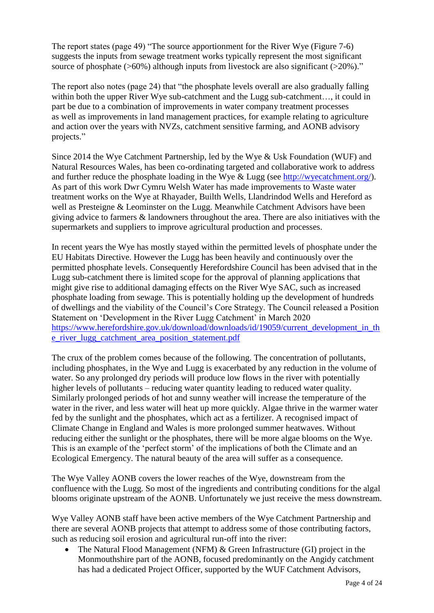The report states (page 49) "The source apportionment for the River Wye (Figure 7-6) suggests the inputs from sewage treatment works typically represent the most significant source of phosphate ( $>60\%$ ) although inputs from livestock are also significant ( $>20\%$ )."

The report also notes (page 24) that "the phosphate levels overall are also gradually falling within both the upper River Wye sub-catchment and the Lugg sub-catchment…, it could in part be due to a combination of improvements in water company treatment processes as well as improvements in land management practices, for example relating to agriculture and action over the years with NVZs, catchment sensitive farming, and AONB advisory projects."

Since 2014 the Wye Catchment Partnership, led by the Wye & Usk Foundation (WUF) and Natural Resources Wales, has been co-ordinating targeted and collaborative work to address and further reduce the phosphate loading in the Wye  $\&$  Lugg (see [http://wyecatchment.org/\)](http://wyecatchment.org/). As part of this work Dwr Cymru Welsh Water has made improvements to Waste water treatment works on the Wye at Rhayader, Builth Wells, Llandrindod Wells and Hereford as well as Presteigne & Leominster on the Lugg. Meanwhile Catchment Advisors have been giving advice to farmers  $\&$  landowners throughout the area. There are also initiatives with the supermarkets and suppliers to improve agricultural production and processes.

In recent years the Wye has mostly stayed within the permitted levels of phosphate under the EU Habitats Directive. However the Lugg has been heavily and continuously over the permitted phosphate levels. Consequently Herefordshire Council has been advised that in the Lugg sub-catchment there is limited scope for the approval of planning applications that might give rise to additional damaging effects on the River Wye SAC, such as increased phosphate loading from sewage. This is potentially holding up the development of hundreds of dwellings and the viability of the Council's Core Strategy. The Council released a Position Statement on 'Development in the River Lugg Catchment' in March 2020 [https://www.herefordshire.gov.uk/download/downloads/id/19059/current\\_development\\_in\\_th](https://www.herefordshire.gov.uk/download/downloads/id/19059/current_development_in_the_river_lugg_catchment_area_position_statement.pdf) [e\\_river\\_lugg\\_catchment\\_area\\_position\\_statement.pdf](https://www.herefordshire.gov.uk/download/downloads/id/19059/current_development_in_the_river_lugg_catchment_area_position_statement.pdf)

The crux of the problem comes because of the following. The concentration of pollutants, including phosphates, in the Wye and Lugg is exacerbated by any reduction in the volume of water. So any prolonged dry periods will produce low flows in the river with potentially higher levels of pollutants – reducing water quantity leading to reduced water quality. Similarly prolonged periods of hot and sunny weather will increase the temperature of the water in the river, and less water will heat up more quickly. Algae thrive in the warmer water fed by the sunlight and the phosphates, which act as a fertilizer. A recognised impact of Climate Change in England and Wales is more prolonged summer heatwaves. Without reducing either the sunlight or the phosphates, there will be more algae blooms on the Wye. This is an example of the 'perfect storm' of the implications of both the Climate and an Ecological Emergency. The natural beauty of the area will suffer as a consequence.

The Wye Valley AONB covers the lower reaches of the Wye, downstream from the confluence with the Lugg. So most of the ingredients and contributing conditions for the algal blooms originate upstream of the AONB. Unfortunately we just receive the mess downstream.

Wye Valley AONB staff have been active members of the Wye Catchment Partnership and there are several AONB projects that attempt to address some of those contributing factors, such as reducing soil erosion and agricultural run-off into the river:

 The Natural Flood Management (NFM) & Green Infrastructure (GI) project in the Monmouthshire part of the AONB, focused predominantly on the Angidy catchment has had a dedicated Project Officer, supported by the WUF Catchment Advisors,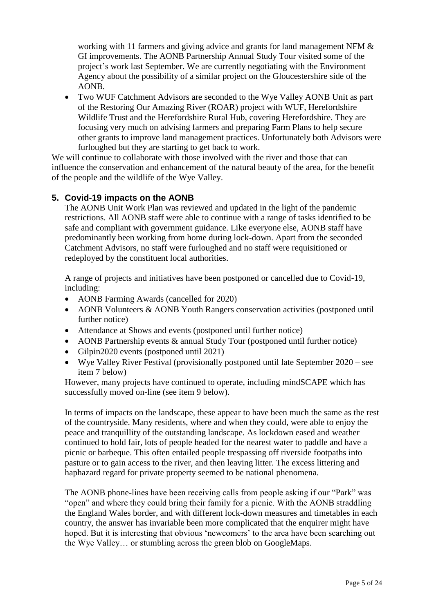working with 11 farmers and giving advice and grants for land management NFM  $&$ GI improvements. The AONB Partnership Annual Study Tour visited some of the project's work last September. We are currently negotiating with the Environment Agency about the possibility of a similar project on the Gloucestershire side of the AONB.

 Two WUF Catchment Advisors are seconded to the Wye Valley AONB Unit as part of the Restoring Our Amazing River (ROAR) project with WUF, Herefordshire Wildlife Trust and the Herefordshire Rural Hub, covering Herefordshire. They are focusing very much on advising farmers and preparing Farm Plans to help secure other grants to improve land management practices. Unfortunately both Advisors were furloughed but they are starting to get back to work.

We will continue to collaborate with those involved with the river and those that can influence the conservation and enhancement of the natural beauty of the area, for the benefit of the people and the wildlife of the Wye Valley.

# <span id="page-4-0"></span>**5. Covid-19 impacts on the AONB**

The AONB Unit Work Plan was reviewed and updated in the light of the pandemic restrictions. All AONB staff were able to continue with a range of tasks identified to be safe and compliant with government guidance. Like everyone else, AONB staff have predominantly been working from home during lock-down. Apart from the seconded Catchment Advisors, no staff were furloughed and no staff were requisitioned or redeployed by the constituent local authorities.

A range of projects and initiatives have been postponed or cancelled due to Covid-19, including:

- AONB Farming Awards (cancelled for 2020)
- AONB Volunteers & AONB Youth Rangers conservation activities (postponed until further notice)
- Attendance at Shows and events (postponed until further notice)
- AONB Partnership events & annual Study Tour (postponed until further notice)
- Gilpin2020 events (postponed until 2021)
- Wye Valley River Festival (provisionally postponed until late September 2020 see item 7 below)

However, many projects have continued to operate, including mindSCAPE which has successfully moved on-line (see item 9 below).

In terms of impacts on the landscape, these appear to have been much the same as the rest of the countryside. Many residents, where and when they could, were able to enjoy the peace and tranquillity of the outstanding landscape. As lockdown eased and weather continued to hold fair, lots of people headed for the nearest water to paddle and have a picnic or barbeque. This often entailed people trespassing off riverside footpaths into pasture or to gain access to the river, and then leaving litter. The excess littering and haphazard regard for private property seemed to be national phenomena.

The AONB phone-lines have been receiving calls from people asking if our "Park" was "open" and where they could bring their family for a picnic. With the AONB straddling the England Wales border, and with different lock-down measures and timetables in each country, the answer has invariable been more complicated that the enquirer might have hoped. But it is interesting that obvious 'newcomers' to the area have been searching out the Wye Valley… or stumbling across the green blob on GoogleMaps.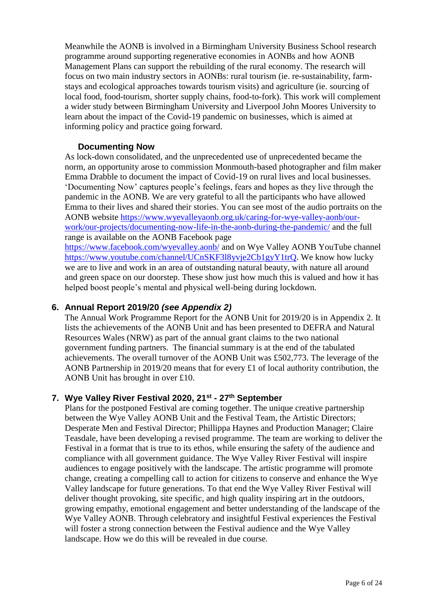Meanwhile the AONB is involved in a Birmingham University Business School research programme around supporting regenerative economies in AONBs and how AONB Management Plans can support the rebuilding of the rural economy. The research will focus on two main industry sectors in AONBs: rural tourism (ie. re-sustainability, farmstays and ecological approaches towards tourism visits) and agriculture (ie. sourcing of local food, food-tourism, shorter supply chains, food-to-fork). This work will complement a wider study between Birmingham University and Liverpool John Moores University to learn about the impact of the Covid-19 pandemic on businesses, which is aimed at informing policy and practice going forward.

### **Documenting Now**

<span id="page-5-0"></span>As lock-down consolidated, and the unprecedented use of unprecedented became the norm, an opportunity arose to commission Monmouth-based photographer and film maker Emma Drabble to document the impact of Covid-19 on rural lives and local businesses. 'Documenting Now' captures people's feelings, fears and hopes as they live through the pandemic in the AONB. We are very grateful to all the participants who have allowed Emma to their lives and shared their stories. You can see most of the audio portraits on the AONB website [https://www.wyevalleyaonb.org.uk/caring-for-wye-valley-aonb/our](https://www.wyevalleyaonb.org.uk/caring-for-wye-valley-aonb/our-work/our-projects/documenting-now-life-in-the-aonb-during-the-pandemic/)[work/our-projects/documenting-now-life-in-the-aonb-during-the-pandemic/](https://www.wyevalleyaonb.org.uk/caring-for-wye-valley-aonb/our-work/our-projects/documenting-now-life-in-the-aonb-during-the-pandemic/) and the full range is available on the AONB Facebook page <https://www.facebook.com/wyevalley.aonb/> and on Wye Valley AONB YouTube channel

[https://www.youtube.com/channel/UCnSKF3l8yvje2Cb1gyY1trQ.](https://www.youtube.com/channel/UCnSKF3l8yvje2Cb1gyY1trQ) We know how lucky we are to live and work in an area of outstanding natural beauty, with nature all around and green space on our doorstep. These show just how much this is valued and how it has helped boost people's mental and physical well-being during lockdown.

### <span id="page-5-1"></span>**6. Annual Report 2019/20** *(see Appendix 2)*

The Annual Work Programme Report for the AONB Unit for 2019/20 is in Appendix 2. It lists the achievements of the AONB Unit and has been presented to DEFRA and Natural Resources Wales (NRW) as part of the annual grant claims to the two national government funding partners. The financial summary is at the end of the tabulated achievements. The overall turnover of the AONB Unit was £502,773. The leverage of the AONB Partnership in 2019/20 means that for every £1 of local authority contribution, the AONB Unit has brought in over £10.

## <span id="page-5-2"></span>**7. Wye Valley River Festival 2020, 21 st - 27th September**

Plans for the postponed Festival are coming together. The unique creative partnership between the Wye Valley AONB Unit and the Festival Team, the Artistic Directors; Desperate Men and Festival Director; Phillippa Haynes and Production Manager; Claire Teasdale, have been developing a revised programme. The team are working to deliver the Festival in a format that is true to its ethos, while ensuring the safety of the audience and compliance with all government guidance. The Wye Valley River Festival will inspire audiences to engage positively with the landscape. The artistic programme will promote change, creating a compelling call to action for citizens to conserve and enhance the Wye Valley landscape for future generations. To that end the Wye Valley River Festival will deliver thought provoking, site specific, and high quality inspiring art in the outdoors, growing empathy, emotional engagement and better understanding of the landscape of the Wye Valley AONB. Through celebratory and insightful Festival experiences the Festival will foster a strong connection between the Festival audience and the Wye Valley landscape. How we do this will be revealed in due course.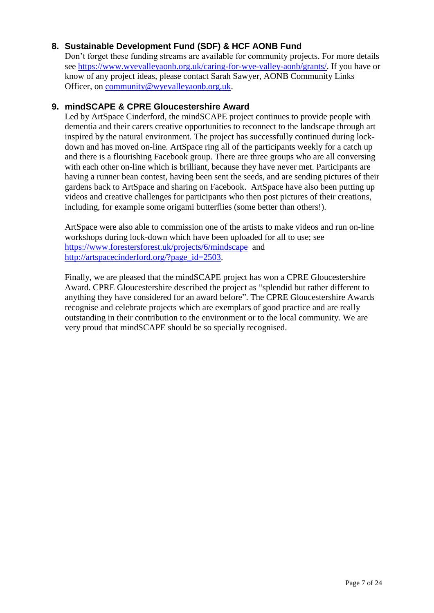# <span id="page-6-0"></span>**8. Sustainable Development Fund (SDF) & HCF AONB Fund**

Don't forget these funding streams are available for community projects. For more details see [https://www.wyevalleyaonb.org.uk/caring-for-wye-valley-aonb/grants/.](https://www.wyevalleyaonb.org.uk/caring-for-wye-valley-aonb/grants/) If you have or know of any project ideas, please contact Sarah Sawyer, AONB Community Links Officer, on [community@wyevalleyaonb.org.uk.](mailto:community@wyevalleyaonb.org.uk)

### <span id="page-6-1"></span>**9. mindSCAPE & CPRE Gloucestershire Award**

Led by ArtSpace Cinderford, the mindSCAPE project continues to provide people with dementia and their carers creative opportunities to reconnect to the landscape through art inspired by the natural environment. The project has successfully continued during lockdown and has moved on-line. ArtSpace ring all of the participants weekly for a catch up and there is a flourishing Facebook group. There are three groups who are all conversing with each other on-line which is brilliant, because they have never met. Participants are having a runner bean contest, having been sent the seeds, and are sending pictures of their gardens back to ArtSpace and sharing on Facebook. ArtSpace have also been putting up videos and creative challenges for participants who then post pictures of their creations, including, for example some origami butterflies (some better than others!).

ArtSpace were also able to commission one of the artists to make videos and run on-line workshops during lock-down which have been uploaded for all to use; see <https://www.forestersforest.uk/projects/6/mindscape> and [http://artspacecinderford.org/?page\\_id=2503.](http://artspacecinderford.org/?page_id=2503)

Finally, we are pleased that the mindSCAPE project has won a CPRE Gloucestershire Award. CPRE Gloucestershire described the project as "splendid but rather different to anything they have considered for an award before". The CPRE Gloucestershire Awards recognise and celebrate projects which are exemplars of good practice and are really outstanding in their contribution to the environment or to the local community. We are very proud that mindSCAPE should be so specially recognised.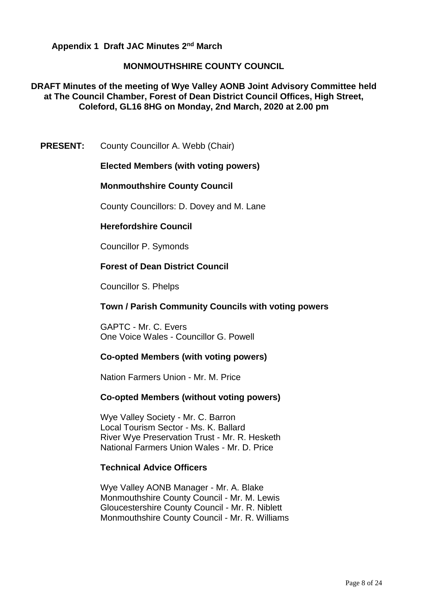<span id="page-7-0"></span>**Appendix 1 Draft JAC Minutes 2nd March** 

### **MONMOUTHSHIRE COUNTY COUNCIL**

**DRAFT Minutes of the meeting of Wye Valley AONB Joint Advisory Committee held at The Council Chamber, Forest of Dean District Council Offices, High Street, Coleford, GL16 8HG on Monday, 2nd March, 2020 at 2.00 pm**

**PRESENT:** County Councillor A. Webb (Chair)

#### **Elected Members (with voting powers)**

#### **Monmouthshire County Council**

County Councillors: D. Dovey and M. Lane

### **Herefordshire Council**

Councillor P. Symonds

### **Forest of Dean District Council**

Councillor S. Phelps

#### **Town / Parish Community Councils with voting powers**

GAPTC - Mr. C. Evers One Voice Wales - Councillor G. Powell

#### **Co-opted Members (with voting powers)**

Nation Farmers Union - Mr. M. Price

#### **Co-opted Members (without voting powers)**

Wye Valley Society - Mr. C. Barron Local Tourism Sector - Ms. K. Ballard River Wye Preservation Trust - Mr. R. Hesketh National Farmers Union Wales - Mr. D. Price

#### **Technical Advice Officers**

Wye Valley AONB Manager - Mr. A. Blake Monmouthshire County Council - Mr. M. Lewis Gloucestershire County Council - Mr. R. Niblett Monmouthshire County Council - Mr. R. Williams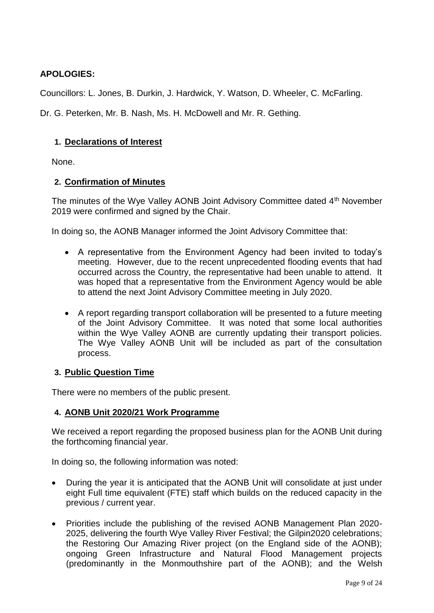# **APOLOGIES:**

Councillors: L. Jones, B. Durkin, J. Hardwick, Y. Watson, D. Wheeler, C. McFarling.

Dr. G. Peterken, Mr. B. Nash, Ms. H. McDowell and Mr. R. Gething.

## **1. Declarations of Interest**

None.

# **2. Confirmation of Minutes**

The minutes of the Wye Valley AONB Joint Advisory Committee dated 4<sup>th</sup> November 2019 were confirmed and signed by the Chair.

In doing so, the AONB Manager informed the Joint Advisory Committee that:

- A representative from the Environment Agency had been invited to today's meeting. However, due to the recent unprecedented flooding events that had occurred across the Country, the representative had been unable to attend. It was hoped that a representative from the Environment Agency would be able to attend the next Joint Advisory Committee meeting in July 2020.
- A report regarding transport collaboration will be presented to a future meeting of the Joint Advisory Committee. It was noted that some local authorities within the Wye Valley AONB are currently updating their transport policies. The Wye Valley AONB Unit will be included as part of the consultation process.

## **3. Public Question Time**

There were no members of the public present.

## **4. AONB Unit 2020/21 Work Programme**

We received a report regarding the proposed business plan for the AONB Unit during the forthcoming financial year.

In doing so, the following information was noted:

- During the year it is anticipated that the AONB Unit will consolidate at just under eight Full time equivalent (FTE) staff which builds on the reduced capacity in the previous / current year.
- Priorities include the publishing of the revised AONB Management Plan 2020- 2025, delivering the fourth Wye Valley River Festival; the Gilpin2020 celebrations; the Restoring Our Amazing River project (on the England side of the AONB); ongoing Green Infrastructure and Natural Flood Management projects (predominantly in the Monmouthshire part of the AONB); and the Welsh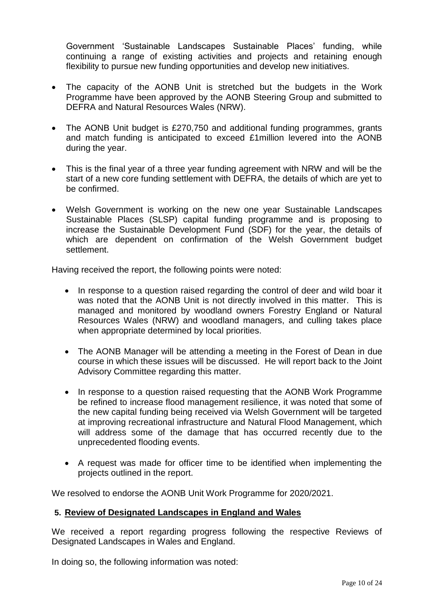Government 'Sustainable Landscapes Sustainable Places' funding, while continuing a range of existing activities and projects and retaining enough flexibility to pursue new funding opportunities and develop new initiatives.

- The capacity of the AONB Unit is stretched but the budgets in the Work Programme have been approved by the AONB Steering Group and submitted to DEFRA and Natural Resources Wales (NRW).
- The AONB Unit budget is £270,750 and additional funding programmes, grants and match funding is anticipated to exceed £1million levered into the AONB during the year.
- This is the final year of a three year funding agreement with NRW and will be the start of a new core funding settlement with DEFRA, the details of which are yet to be confirmed.
- Welsh Government is working on the new one year Sustainable Landscapes Sustainable Places (SLSP) capital funding programme and is proposing to increase the Sustainable Development Fund (SDF) for the year, the details of which are dependent on confirmation of the Welsh Government budget settlement.

Having received the report, the following points were noted:

- In response to a question raised regarding the control of deer and wild boar it was noted that the AONB Unit is not directly involved in this matter. This is managed and monitored by woodland owners Forestry England or Natural Resources Wales (NRW) and woodland managers, and culling takes place when appropriate determined by local priorities.
- The AONB Manager will be attending a meeting in the Forest of Dean in due course in which these issues will be discussed. He will report back to the Joint Advisory Committee regarding this matter.
- In response to a question raised requesting that the AONB Work Programme be refined to increase flood management resilience, it was noted that some of the new capital funding being received via Welsh Government will be targeted at improving recreational infrastructure and Natural Flood Management, which will address some of the damage that has occurred recently due to the unprecedented flooding events.
- A request was made for officer time to be identified when implementing the projects outlined in the report.

We resolved to endorse the AONB Unit Work Programme for 2020/2021.

## **5. Review of Designated Landscapes in England and Wales**

We received a report regarding progress following the respective Reviews of Designated Landscapes in Wales and England.

In doing so, the following information was noted: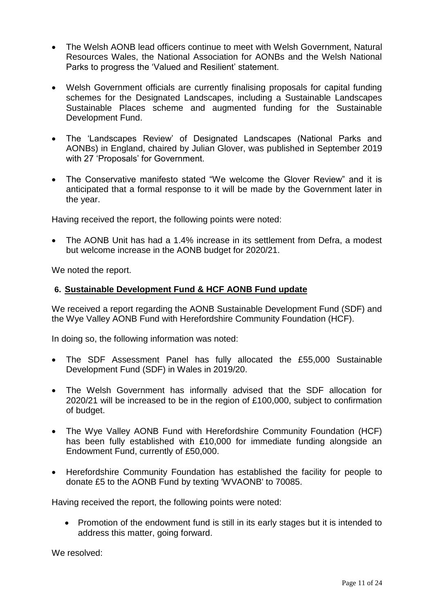- The Welsh AONB lead officers continue to meet with Welsh Government, Natural Resources Wales, the National Association for AONBs and the Welsh National Parks to progress the 'Valued and Resilient' statement.
- Welsh Government officials are currently finalising proposals for capital funding schemes for the Designated Landscapes, including a Sustainable Landscapes Sustainable Places scheme and augmented funding for the Sustainable Development Fund.
- The 'Landscapes Review' of Designated Landscapes (National Parks and AONBs) in England, chaired by Julian Glover, was published in September 2019 with 27 'Proposals' for Government.
- The Conservative manifesto stated "We welcome the Glover Review" and it is anticipated that a formal response to it will be made by the Government later in the year.

Having received the report, the following points were noted:

 The AONB Unit has had a 1.4% increase in its settlement from Defra, a modest but welcome increase in the AONB budget for 2020/21.

We noted the report.

## **6. Sustainable Development Fund & HCF AONB Fund update**

We received a report regarding the AONB Sustainable Development Fund (SDF) and the Wye Valley AONB Fund with Herefordshire Community Foundation (HCF).

In doing so, the following information was noted:

- The SDF Assessment Panel has fully allocated the £55,000 Sustainable Development Fund (SDF) in Wales in 2019/20.
- The Welsh Government has informally advised that the SDF allocation for 2020/21 will be increased to be in the region of £100,000, subject to confirmation of budget.
- The Wye Valley AONB Fund with Herefordshire Community Foundation (HCF) has been fully established with £10,000 for immediate funding alongside an Endowment Fund, currently of £50,000.
- Herefordshire Community Foundation has established the facility for people to donate £5 to the AONB Fund by texting 'WVAONB' to 70085.

Having received the report, the following points were noted:

• Promotion of the endowment fund is still in its early stages but it is intended to address this matter, going forward.

We resolved: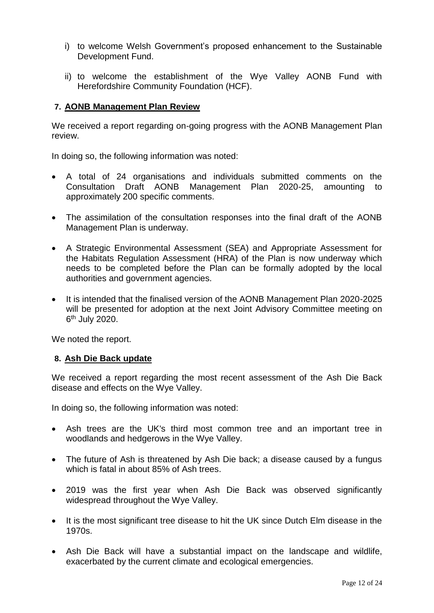- i) to welcome Welsh Government's proposed enhancement to the Sustainable Development Fund.
- ii) to welcome the establishment of the Wye Valley AONB Fund with Herefordshire Community Foundation (HCF).

## **7. AONB Management Plan Review**

We received a report regarding on-going progress with the AONB Management Plan review.

In doing so, the following information was noted:

- A total of 24 organisations and individuals submitted comments on the Consultation Draft AONB Management Plan 2020-25, amounting to approximately 200 specific comments.
- The assimilation of the consultation responses into the final draft of the AONB Management Plan is underway.
- A Strategic Environmental Assessment (SEA) and Appropriate Assessment for the Habitats Regulation Assessment (HRA) of the Plan is now underway which needs to be completed before the Plan can be formally adopted by the local authorities and government agencies.
- It is intended that the finalised version of the AONB Management Plan 2020-2025 will be presented for adoption at the next Joint Advisory Committee meeting on 6<sup>th</sup> July 2020.

We noted the report.

#### **8. Ash Die Back update**

We received a report regarding the most recent assessment of the Ash Die Back disease and effects on the Wye Valley.

In doing so, the following information was noted:

- Ash trees are the UK's third most common tree and an important tree in woodlands and hedgerows in the Wye Valley.
- The future of Ash is threatened by Ash Die back; a disease caused by a fungus which is fatal in about 85% of Ash trees.
- 2019 was the first year when Ash Die Back was observed significantly widespread throughout the Wye Valley.
- It is the most significant tree disease to hit the UK since Dutch Elm disease in the 1970s.
- Ash Die Back will have a substantial impact on the landscape and wildlife, exacerbated by the current climate and ecological emergencies.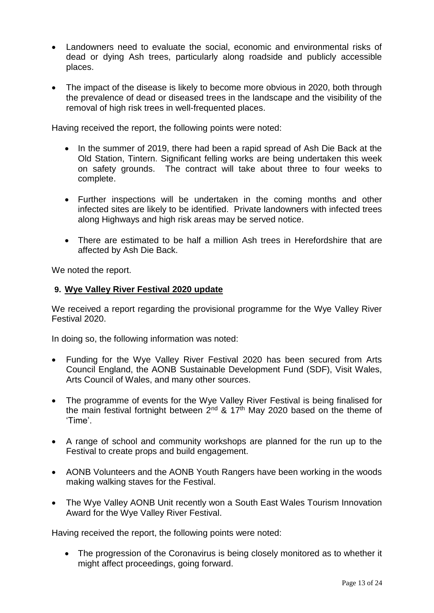- Landowners need to evaluate the social, economic and environmental risks of dead or dying Ash trees, particularly along roadside and publicly accessible places.
- The impact of the disease is likely to become more obvious in 2020, both through the prevalence of dead or diseased trees in the landscape and the visibility of the removal of high risk trees in well-frequented places.

Having received the report, the following points were noted:

- In the summer of 2019, there had been a rapid spread of Ash Die Back at the Old Station, Tintern. Significant felling works are being undertaken this week on safety grounds. The contract will take about three to four weeks to complete.
- Further inspections will be undertaken in the coming months and other infected sites are likely to be identified. Private landowners with infected trees along Highways and high risk areas may be served notice.
- There are estimated to be half a million Ash trees in Herefordshire that are affected by Ash Die Back.

We noted the report.

## **9. Wye Valley River Festival 2020 update**

We received a report regarding the provisional programme for the Wye Valley River Festival 2020.

In doing so, the following information was noted:

- Funding for the Wye Valley River Festival 2020 has been secured from Arts Council England, the AONB Sustainable Development Fund (SDF), Visit Wales, Arts Council of Wales, and many other sources.
- The programme of events for the Wye Valley River Festival is being finalised for the main festival fortnight between  $2^{nd}$  & 17<sup>th</sup> May 2020 based on the theme of 'Time'.
- A range of school and community workshops are planned for the run up to the Festival to create props and build engagement.
- AONB Volunteers and the AONB Youth Rangers have been working in the woods making walking staves for the Festival.
- The Wye Valley AONB Unit recently won a South East Wales Tourism Innovation Award for the Wye Valley River Festival.

Having received the report, the following points were noted:

• The progression of the Coronavirus is being closely monitored as to whether it might affect proceedings, going forward.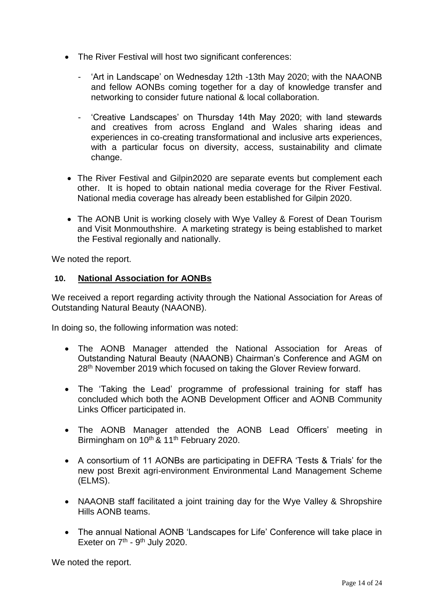- The River Festival will host two significant conferences:
	- 'Art in Landscape' on Wednesday 12th -13th May 2020; with the NAAONB and fellow AONBs coming together for a day of knowledge transfer and networking to consider future national & local collaboration.
	- 'Creative Landscapes' on Thursday 14th May 2020; with land stewards and creatives from across England and Wales sharing ideas and experiences in co-creating transformational and inclusive arts experiences, with a particular focus on diversity, access, sustainability and climate change.
- The River Festival and Gilpin2020 are separate events but complement each other. It is hoped to obtain national media coverage for the River Festival. National media coverage has already been established for Gilpin 2020.
- The AONB Unit is working closely with Wye Valley & Forest of Dean Tourism and Visit Monmouthshire. A marketing strategy is being established to market the Festival regionally and nationally.

We noted the report.

## **10. National Association for AONBs**

We received a report regarding activity through the National Association for Areas of Outstanding Natural Beauty (NAAONB).

In doing so, the following information was noted:

- The AONB Manager attended the National Association for Areas of Outstanding Natural Beauty (NAAONB) Chairman's Conference and AGM on 28th November 2019 which focused on taking the Glover Review forward.
- The 'Taking the Lead' programme of professional training for staff has concluded which both the AONB Development Officer and AONB Community Links Officer participated in.
- The AONB Manager attended the AONB Lead Officers' meeting in Birmingham on 10<sup>th</sup> & 11<sup>th</sup> February 2020.
- A consortium of 11 AONBs are participating in DEFRA 'Tests & Trials' for the new post Brexit agri-environment Environmental Land Management Scheme (ELMS).
- NAAONB staff facilitated a joint training day for the Wye Valley & Shropshire Hills AONB teams.
- The annual National AONB 'Landscapes for Life' Conference will take place in Exeter on  $7<sup>th</sup>$  - 9<sup>th</sup> July 2020.

We noted the report.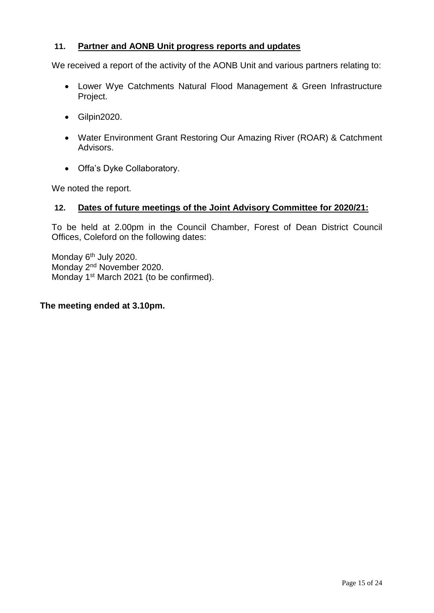# **11. Partner and AONB Unit progress reports and updates**

We received a report of the activity of the AONB Unit and various partners relating to:

- Lower Wye Catchments Natural Flood Management & Green Infrastructure Project.
- Gilpin2020.
- Water Environment Grant Restoring Our Amazing River (ROAR) & Catchment Advisors.
- Offa's Dyke Collaboratory.

We noted the report.

## **12. Dates of future meetings of the Joint Advisory Committee for 2020/21:**

To be held at 2.00pm in the Council Chamber, Forest of Dean District Council Offices, Coleford on the following dates:

Monday 6<sup>th</sup> July 2020. Monday 2nd November 2020. Monday 1st March 2021 (to be confirmed).

#### **The meeting ended at 3.10pm.**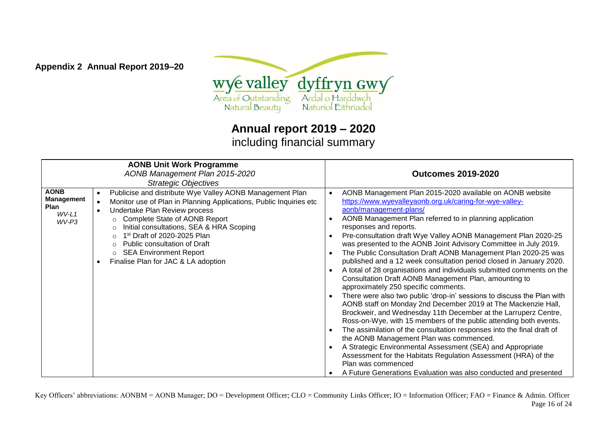

**Appendix 2 Annual Report 2019–20**

**Annual report 2019 – 2020** including financial summary

<span id="page-15-0"></span>

| <b>AONB Unit Work Programme</b><br>AONB Management Plan 2015-2020<br><b>Strategic Objectives</b> |                                                                                                                                                                                                                                                                                                                                                                                                                                                 | <b>Outcomes 2019-2020</b>                                                                                                                                                                                                                                                                                                                                                                                                                                                                                                                                                                                                                                                                                                                                                                                                                                                                                                                                                                                                                                                                                                                                                                                                                                                                                                      |  |
|--------------------------------------------------------------------------------------------------|-------------------------------------------------------------------------------------------------------------------------------------------------------------------------------------------------------------------------------------------------------------------------------------------------------------------------------------------------------------------------------------------------------------------------------------------------|--------------------------------------------------------------------------------------------------------------------------------------------------------------------------------------------------------------------------------------------------------------------------------------------------------------------------------------------------------------------------------------------------------------------------------------------------------------------------------------------------------------------------------------------------------------------------------------------------------------------------------------------------------------------------------------------------------------------------------------------------------------------------------------------------------------------------------------------------------------------------------------------------------------------------------------------------------------------------------------------------------------------------------------------------------------------------------------------------------------------------------------------------------------------------------------------------------------------------------------------------------------------------------------------------------------------------------|--|
| <b>AONB</b><br><b>Management</b><br>Plan<br>$WV-L1$<br>$WV-P3$                                   | Publicise and distribute Wye Valley AONB Management Plan<br>$\bullet$<br>Monitor use of Plan in Planning Applications, Public Inquiries etc<br>$\bullet$<br>Undertake Plan Review process<br>$\bullet$<br>Complete State of AONB Report<br>$\circ$<br>Initial consultations, SEA & HRA Scoping<br>∩<br>1st Draft of 2020-2025 Plan<br>O<br>Public consultation of Draft<br><b>SEA Environment Report</b><br>Finalise Plan for JAC & LA adoption | AONB Management Plan 2015-2020 available on AONB website<br>https://www.wyevalleyaonb.org.uk/caring-for-wye-valley-<br>aonb/management-plans/<br>AONB Management Plan referred to in planning application<br>responses and reports.<br>Pre-consultation draft Wye Valley AONB Management Plan 2020-25<br>was presented to the AONB Joint Advisory Committee in July 2019.<br>The Public Consultation Draft AONB Management Plan 2020-25 was<br>published and a 12 week consultation period closed in January 2020.<br>A total of 28 organisations and individuals submitted comments on the<br>Consultation Draft AONB Management Plan, amounting to<br>approximately 250 specific comments.<br>There were also two public 'drop-in' sessions to discuss the Plan with<br>AONB staff on Monday 2nd December 2019 at The Mackenzie Hall,<br>Brockweir, and Wednesday 11th December at the Larruperz Centre,<br>Ross-on-Wye, with 15 members of the public attending both events.<br>The assimilation of the consultation responses into the final draft of<br>the AONB Management Plan was commenced.<br>A Strategic Environmental Assessment (SEA) and Appropriate<br>Assessment for the Habitats Regulation Assessment (HRA) of the<br>Plan was commenced<br>A Future Generations Evaluation was also conducted and presented |  |

Key Officers' abbreviations: AONBM = AONB Manager; DO = Development Officer; CLO = Community Links Officer; IO = Information Officer; FAO = Finance & Admin. Officer Page 16 of 24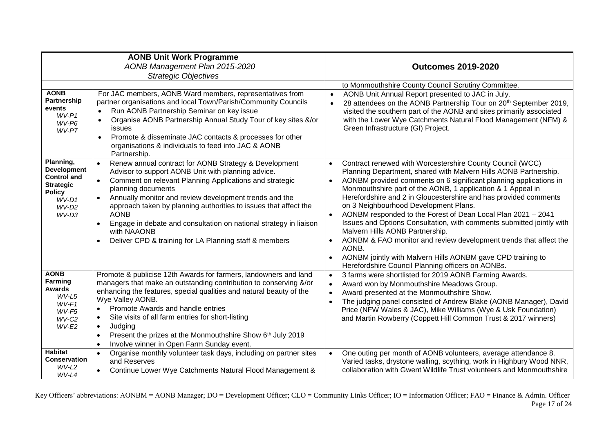| <b>AONB Unit Work Programme</b><br>AONB Management Plan 2015-2020<br><b>Strategic Objectives</b>                        |                                                                                                                                                                                                                                                                                                                                                                                                                                                                                                                                             | <b>Outcomes 2019-2020</b>                                                                                                                                                                                                                                                                                                                                                                                                                                                                                                                                                                                                                                                                                                                                                                                                     |  |
|-------------------------------------------------------------------------------------------------------------------------|---------------------------------------------------------------------------------------------------------------------------------------------------------------------------------------------------------------------------------------------------------------------------------------------------------------------------------------------------------------------------------------------------------------------------------------------------------------------------------------------------------------------------------------------|-------------------------------------------------------------------------------------------------------------------------------------------------------------------------------------------------------------------------------------------------------------------------------------------------------------------------------------------------------------------------------------------------------------------------------------------------------------------------------------------------------------------------------------------------------------------------------------------------------------------------------------------------------------------------------------------------------------------------------------------------------------------------------------------------------------------------------|--|
|                                                                                                                         |                                                                                                                                                                                                                                                                                                                                                                                                                                                                                                                                             | to Monmouthshire County Council Scrutiny Committee.                                                                                                                                                                                                                                                                                                                                                                                                                                                                                                                                                                                                                                                                                                                                                                           |  |
| <b>AONB</b><br>Partnership<br>events<br>$WV-P1$<br>WV-P6<br>WV-P7                                                       | For JAC members, AONB Ward members, representatives from<br>partner organisations and local Town/Parish/Community Councils<br>Run AONB Partnership Seminar on key issue<br>$\bullet$<br>Organise AONB Partnership Annual Study Tour of key sites &/or<br>$\bullet$<br>issues<br>Promote & disseminate JAC contacts & processes for other<br>$\bullet$<br>organisations & individuals to feed into JAC & AONB<br>Partnership.                                                                                                                | AONB Unit Annual Report presented to JAC in July.<br>$\bullet$<br>28 attendees on the AONB Partnership Tour on 20 <sup>th</sup> September 2019,<br>visited the southern part of the AONB and sites primarily associated<br>with the Lower Wye Catchments Natural Flood Management (NFM) &<br>Green Infrastructure (GI) Project.                                                                                                                                                                                                                                                                                                                                                                                                                                                                                               |  |
| Planning,<br><b>Development</b><br><b>Control and</b><br><b>Strategic</b><br><b>Policy</b><br>WV-D1<br>$WV-D2$<br>WV-D3 | Renew annual contract for AONB Strategy & Development<br>$\bullet$<br>Advisor to support AONB Unit with planning advice.<br>Comment on relevant Planning Applications and strategic<br>$\bullet$<br>planning documents<br>Annually monitor and review development trends and the<br>$\bullet$<br>approach taken by planning authorities to issues that affect the<br><b>AONB</b><br>Engage in debate and consultation on national strategy in liaison<br>$\bullet$<br>with NAAONB<br>Deliver CPD & training for LA Planning staff & members | Contract renewed with Worcestershire County Council (WCC)<br>$\bullet$<br>Planning Department, shared with Malvern Hills AONB Partnership.<br>AONBM provided comments on 6 significant planning applications in<br>$\bullet$<br>Monmouthshire part of the AONB, 1 application & 1 Appeal in<br>Herefordshire and 2 in Gloucestershire and has provided comments<br>on 3 Neighbourhood Development Plans.<br>AONBM responded to the Forest of Dean Local Plan 2021 - 2041<br>$\bullet$<br>Issues and Options Consultation, with comments submitted jointly with<br>Malvern Hills AONB Partnership.<br>AONBM & FAO monitor and review development trends that affect the<br>$\bullet$<br>AONB.<br>AONBM jointly with Malvern Hills AONBM gave CPD training to<br>$\bullet$<br>Herefordshire Council Planning officers on AONBs. |  |
| <b>AONB</b><br><b>Farming</b><br>Awards<br>WV-L5<br>WV-F1<br>WV-F5<br>WV-C2<br>$WV-E2$                                  | Promote & publicise 12th Awards for farmers, landowners and land<br>managers that make an outstanding contribution to conserving &/or<br>enhancing the features, special qualities and natural beauty of the<br>Wye Valley AONB.<br>Promote Awards and handle entries<br>Site visits of all farm entries for short-listing<br>$\bullet$<br>Judging<br>$\bullet$<br>Present the prizes at the Monmouthshire Show 6th July 2019<br>Involve winner in Open Farm Sunday event.<br>$\bullet$                                                     | 3 farms were shortlisted for 2019 AONB Farming Awards.<br>$\bullet$<br>Award won by Monmouthshire Meadows Group.<br>$\bullet$<br>Award presented at the Monmouthshire Show.<br>$\bullet$<br>The judging panel consisted of Andrew Blake (AONB Manager), David<br>Price (NFW Wales & JAC), Mike Williams (Wye & Usk Foundation)<br>and Martin Rowberry (Coppett Hill Common Trust & 2017 winners)                                                                                                                                                                                                                                                                                                                                                                                                                              |  |
| <b>Habitat</b><br><b>Conservation</b><br>$WV-L2$<br>$WV-L4$                                                             | Organise monthly volunteer task days, including on partner sites<br>and Reserves<br>Continue Lower Wye Catchments Natural Flood Management &                                                                                                                                                                                                                                                                                                                                                                                                | One outing per month of AONB volunteers, average attendance 8.<br>Varied tasks, drystone walling, scything, work in Highbury Wood NNR,<br>collaboration with Gwent Wildlife Trust volunteers and Monmouthshire                                                                                                                                                                                                                                                                                                                                                                                                                                                                                                                                                                                                                |  |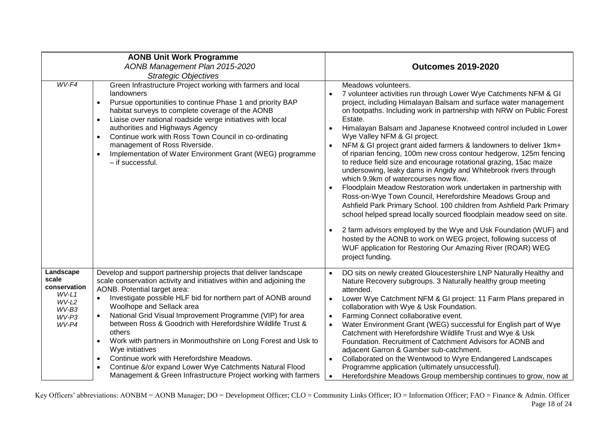| <b>AONB Unit Work Programme</b><br>AONB Management Plan 2015-2020<br><b>Strategic Objectives</b> |                                                                                                                                                                                                                                                                                                                                                                                                                                                                                                                                                                                                                                                                           | <b>Outcomes 2019-2020</b>                                                                                                                                                                                                                                                                                                                                                                                                                                                                                                                                                                                                                                                                                                                                                                                                                                                                                                                                                                                                                                                                                                                                                                   |  |
|--------------------------------------------------------------------------------------------------|---------------------------------------------------------------------------------------------------------------------------------------------------------------------------------------------------------------------------------------------------------------------------------------------------------------------------------------------------------------------------------------------------------------------------------------------------------------------------------------------------------------------------------------------------------------------------------------------------------------------------------------------------------------------------|---------------------------------------------------------------------------------------------------------------------------------------------------------------------------------------------------------------------------------------------------------------------------------------------------------------------------------------------------------------------------------------------------------------------------------------------------------------------------------------------------------------------------------------------------------------------------------------------------------------------------------------------------------------------------------------------------------------------------------------------------------------------------------------------------------------------------------------------------------------------------------------------------------------------------------------------------------------------------------------------------------------------------------------------------------------------------------------------------------------------------------------------------------------------------------------------|--|
| $WV-F4$                                                                                          | Green Infrastructure Project working with farmers and local<br>landowners<br>Pursue opportunities to continue Phase 1 and priority BAP<br>$\bullet$<br>habitat surveys to complete coverage of the AONB<br>Liaise over national roadside verge initiatives with local<br>$\bullet$<br>authorities and Highways Agency<br>Continue work with Ross Town Council in co-ordinating<br>$\bullet$<br>management of Ross Riverside.<br>Implementation of Water Environment Grant (WEG) programme<br>- if successful.                                                                                                                                                             | Meadows volunteers.<br>7 volunteer activities run through Lower Wye Catchments NFM & GI<br>project, including Himalayan Balsam and surface water management<br>on footpaths. Including work in partnership with NRW on Public Forest<br>Estate.<br>Himalayan Balsam and Japanese Knotweed control included in Lower<br>Wye Valley NFM & GI project.<br>NFM & GI project grant aided farmers & landowners to deliver 1km+<br>of riparian fencing, 100m new cross contour hedgerow, 125m fencing<br>to reduce field size and encourage rotational grazing, 15ac maize<br>undersowing, leaky dams in Angidy and Whitebrook rivers through<br>which 9.9km of watercourses now flow.<br>Floodplain Meadow Restoration work undertaken in partnership with<br>Ross-on-Wye Town Council, Herefordshire Meadows Group and<br>Ashfield Park Primary School. 100 children from Ashfield Park Primary<br>school helped spread locally sourced floodplain meadow seed on site.<br>2 farm advisors employed by the Wye and Usk Foundation (WUF) and<br>hosted by the AONB to work on WEG project, following success of<br>WUF application for Restoring Our Amazing River (ROAR) WEG<br>project funding. |  |
| Landscape<br>scale<br>conservation<br>$WV-L1$<br>WV-L2<br>WV-B3<br>WV-P3<br>WV-P4                | Develop and support partnership projects that deliver landscape<br>scale conservation activity and initiatives within and adjoining the<br>AONB. Potential target area:<br>Investigate possible HLF bid for northern part of AONB around<br>Woolhope and Sellack area<br>National Grid Visual Improvement Programme (VIP) for area<br>between Ross & Goodrich with Herefordshire Wildlife Trust &<br>others<br>Work with partners in Monmouthshire on Long Forest and Usk to<br>Wye initiatives<br>Continue work with Herefordshire Meadows.<br>Continue &/or expand Lower Wye Catchments Natural Flood<br>Management & Green Infrastructure Project working with farmers | DO sits on newly created Gloucestershire LNP Naturally Healthy and<br>Nature Recovery subgroups. 3 Naturally healthy group meeting<br>attended.<br>Lower Wye Catchment NFM & GI project: 11 Farm Plans prepared in<br>collaboration with Wye & Usk Foundation.<br>Farming Connect collaborative event.<br>Water Environment Grant (WEG) successful for English part of Wye<br>Catchment with Herefordshire Wildlife Trust and Wye & Usk<br>Foundation. Recruitment of Catchment Advisors for AONB and<br>adjacent Garron & Gamber sub-catchment.<br>Collaborated on the Wentwood to Wyre Endangered Landscapes<br>Programme application (ultimately unsuccessful).<br>Herefordshire Meadows Group membership continues to grow, now at                                                                                                                                                                                                                                                                                                                                                                                                                                                      |  |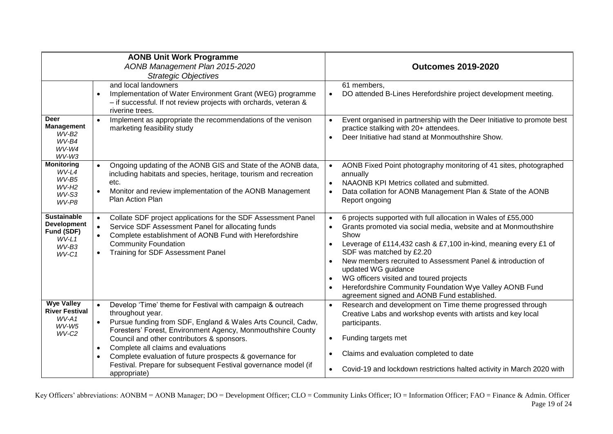| <b>AONB Unit Work Programme</b><br>AONB Management Plan 2015-2020<br><b>Strategic Objectives</b> |                                                                                                                                                                                                                                                                                                                                                                                                                                                                                                      | <b>Outcomes 2019-2020</b>                                                                                                                                                                                                                                                                                                                                                                                                                                                         |  |
|--------------------------------------------------------------------------------------------------|------------------------------------------------------------------------------------------------------------------------------------------------------------------------------------------------------------------------------------------------------------------------------------------------------------------------------------------------------------------------------------------------------------------------------------------------------------------------------------------------------|-----------------------------------------------------------------------------------------------------------------------------------------------------------------------------------------------------------------------------------------------------------------------------------------------------------------------------------------------------------------------------------------------------------------------------------------------------------------------------------|--|
|                                                                                                  | and local landowners<br>Implementation of Water Environment Grant (WEG) programme<br>$\bullet$<br>- if successful. If not review projects with orchards, veteran &<br>riverine trees.                                                                                                                                                                                                                                                                                                                | 61 members,<br>DO attended B-Lines Herefordshire project development meeting.                                                                                                                                                                                                                                                                                                                                                                                                     |  |
| <b>Deer</b><br>Management<br>$WV-B2$<br>WV-B4<br>$WV-W4$<br>WV-W3                                | Implement as appropriate the recommendations of the venison<br>$\bullet$<br>marketing feasibility study                                                                                                                                                                                                                                                                                                                                                                                              | Event organised in partnership with the Deer Initiative to promote best<br>practice stalking with 20+ attendees.<br>Deer Initiative had stand at Monmouthshire Show.                                                                                                                                                                                                                                                                                                              |  |
| <b>Monitoring</b><br>WV-L4<br>$WV-B5$<br>$WV-H2$<br>WV-S3<br>WV-P8                               | Ongoing updating of the AONB GIS and State of the AONB data,<br>$\bullet$<br>including habitats and species, heritage, tourism and recreation<br>etc.<br>Monitor and review implementation of the AONB Management<br>Plan Action Plan                                                                                                                                                                                                                                                                | AONB Fixed Point photography monitoring of 41 sites, photographed<br>annually<br>NAAONB KPI Metrics collated and submitted.<br>Data collation for AONB Management Plan & State of the AONB<br>Report ongoing                                                                                                                                                                                                                                                                      |  |
| <b>Sustainable</b><br><b>Development</b><br>Fund (SDF)<br>$WV-L1$<br>$WV-B3$<br>$WV-C1$          | Collate SDF project applications for the SDF Assessment Panel<br>$\bullet$<br>Service SDF Assessment Panel for allocating funds<br>$\bullet$<br>Complete establishment of AONB Fund with Herefordshire<br>$\bullet$<br><b>Community Foundation</b><br>Training for SDF Assessment Panel                                                                                                                                                                                                              | 6 projects supported with full allocation in Wales of £55,000<br>Grants promoted via social media, website and at Monmouthshire<br>Show<br>Leverage of £114,432 cash & £7,100 in-kind, meaning every £1 of<br>SDF was matched by £2.20<br>New members recruited to Assessment Panel & introduction of<br>updated WG guidance<br>WG officers visited and toured projects<br>Herefordshire Community Foundation Wye Valley AONB Fund<br>agreement signed and AONB Fund established. |  |
| <b>Wye Valley</b><br><b>River Festival</b><br>$WV-A1$<br>WV-W5<br>$WV-C2$                        | Develop 'Time' theme for Festival with campaign & outreach<br>$\bullet$<br>throughout year.<br>$\bullet$<br>Pursue funding from SDF, England & Wales Arts Council, Cadw,<br>Foresters' Forest, Environment Agency, Monmouthshire County<br>Council and other contributors & sponsors.<br>Complete all claims and evaluations<br>$\bullet$<br>Complete evaluation of future prospects & governance for<br>$\bullet$<br>Festival. Prepare for subsequent Festival governance model (if<br>appropriate) | Research and development on Time theme progressed through<br>Creative Labs and workshop events with artists and key local<br>participants.<br>Funding targets met<br>$\bullet$<br>Claims and evaluation completed to date<br>Covid-19 and lockdown restrictions halted activity in March 2020 with                                                                                                                                                                                |  |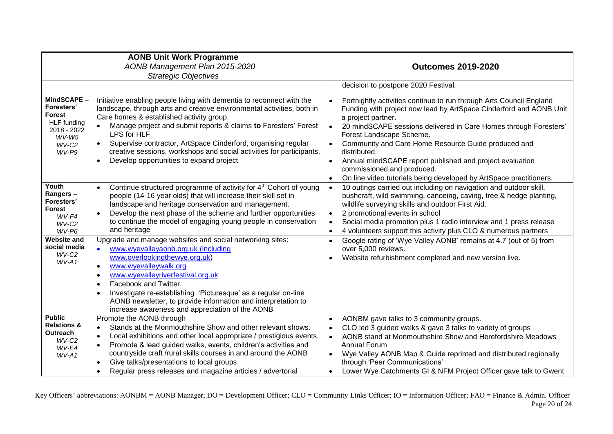| <b>AONB Unit Work Programme</b><br>AONB Management Plan 2015-2020                                    |                                                                                                                                                                                                                                                                                                                                                                                                                                                                                | <b>Outcomes 2019-2020</b>                                                                                                                                                                                                                                                                                                                                                                                                                                                                                                                     |  |
|------------------------------------------------------------------------------------------------------|--------------------------------------------------------------------------------------------------------------------------------------------------------------------------------------------------------------------------------------------------------------------------------------------------------------------------------------------------------------------------------------------------------------------------------------------------------------------------------|-----------------------------------------------------------------------------------------------------------------------------------------------------------------------------------------------------------------------------------------------------------------------------------------------------------------------------------------------------------------------------------------------------------------------------------------------------------------------------------------------------------------------------------------------|--|
| <b>Strategic Objectives</b>                                                                          |                                                                                                                                                                                                                                                                                                                                                                                                                                                                                |                                                                                                                                                                                                                                                                                                                                                                                                                                                                                                                                               |  |
|                                                                                                      |                                                                                                                                                                                                                                                                                                                                                                                                                                                                                | decision to postpone 2020 Festival.                                                                                                                                                                                                                                                                                                                                                                                                                                                                                                           |  |
| MindSCAPE-<br>Foresters'<br>Forest<br><b>HLF</b> funding<br>2018 - 2022<br>$WV-W5$<br>WV-C2<br>WV-P9 | Initiative enabling people living with dementia to reconnect with the<br>landscape, through arts and creative environmental activities, both in<br>Care homes & established activity group.<br>Manage project and submit reports & claims to Foresters' Forest<br>LPS for HLF<br>Supervise contractor, ArtSpace Cinderford, organising regular<br>$\bullet$<br>creative sessions, workshops and social activities for participants.<br>Develop opportunities to expand project | Fortnightly activities continue to run through Arts Council England<br>Funding with project now lead by ArtSpace Cinderford and AONB Unit<br>a project partner.<br>20 mindSCAPE sessions delivered in Care Homes through Foresters'<br>Forest Landscape Scheme.<br>Community and Care Home Resource Guide produced and<br>$\bullet$<br>distributed.<br>Annual mindSCAPE report published and project evaluation<br>$\bullet$<br>commissioned and produced.<br>On line video tutorials being developed by ArtSpace practitioners.<br>$\bullet$ |  |
| Youth<br>Rangers-<br>Foresters'<br><b>Forest</b><br>$WV$ -F4<br>WV-C <sub>2</sub><br>WV-P6           | Continue structured programme of activity for 4 <sup>th</sup> Cohort of young<br>people (14-16 year olds) that will increase their skill set in<br>landscape and heritage conservation and management.<br>Develop the next phase of the scheme and further opportunities<br>$\bullet$<br>to continue the model of engaging young people in conservation<br>and heritage                                                                                                        | 10 outings carried out including on navigation and outdoor skill,<br>bushcraft, wild swimming, canoeing, caving, tree & hedge planting,<br>wildlife surveying skills and outdoor First Aid.<br>2 promotional events in school<br>Social media promotion plus 1 radio interview and 1 press release<br>4 volunteers support this activity plus CLO & numerous partners<br>$\bullet$                                                                                                                                                            |  |
| <b>Website and</b><br>social media<br>WV-C <sub>2</sub><br>WV-A1                                     | Upgrade and manage websites and social networking sites:<br>www.wyevalleyaonb.org.uk (including<br>$\bullet$<br>www.overlookingthewye.org.uk)<br>www.wyevalleywalk.org<br>$\bullet$<br>www.wyevalleyriverfestival.org.uk<br>$\bullet$<br>Facebook and Twitter.<br>$\bullet$<br>Investigate re-establishing 'Picturesque' as a regular on-line<br>$\bullet$<br>AONB newsletter, to provide information and interpretation to<br>increase awareness and appreciation of the AONB | Google rating of 'Wye Valley AONB' remains at 4.7 (out of 5) from<br>$\bullet$<br>over 5,000 reviews.<br>Website refurbishment completed and new version live.<br>$\bullet$                                                                                                                                                                                                                                                                                                                                                                   |  |
| <b>Public</b><br><b>Relations &amp;</b><br><b>Outreach</b><br>$WV-C2$<br>WV-E4<br>WV-A1              | Promote the AONB through<br>Stands at the Monmouthshire Show and other relevant shows.<br>$\bullet$<br>Local exhibitions and other local appropriate / prestigious events.<br>$\bullet$<br>Promote & lead guided walks, events, children's activities and<br>$\bullet$<br>countryside craft /rural skills courses in and around the AONB<br>Give talks/presentations to local groups<br>$\bullet$<br>Regular press releases and magazine articles / advertorial<br>$\bullet$   | AONBM gave talks to 3 community groups.<br>$\bullet$<br>CLO led 3 guided walks & gave 3 talks to variety of groups<br>AONB stand at Monmouthshire Show and Herefordshire Meadows<br>$\bullet$<br><b>Annual Forum</b><br>Wye Valley AONB Map & Guide reprinted and distributed regionally<br>through 'Pear Communications'<br>Lower Wye Catchments GI & NFM Project Officer gave talk to Gwent<br>$\bullet$                                                                                                                                    |  |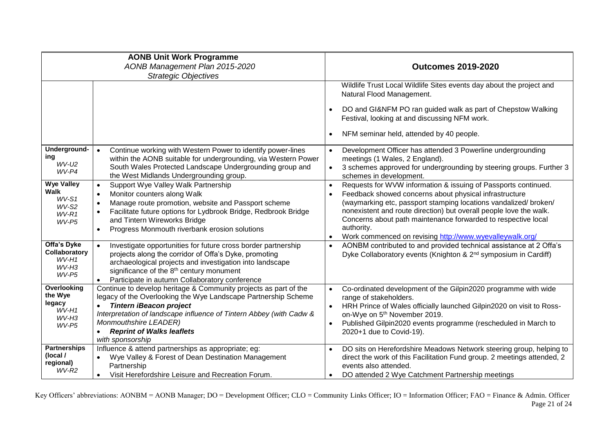| <b>AONB Unit Work Programme</b><br>AONB Management Plan 2015-2020<br><b>Strategic Objectives</b> |                                                                                                                                                                                                                                                                                                                                               | <b>Outcomes 2019-2020</b>                                                                                                                                                                                                                                                                                                                                                                                                               |  |
|--------------------------------------------------------------------------------------------------|-----------------------------------------------------------------------------------------------------------------------------------------------------------------------------------------------------------------------------------------------------------------------------------------------------------------------------------------------|-----------------------------------------------------------------------------------------------------------------------------------------------------------------------------------------------------------------------------------------------------------------------------------------------------------------------------------------------------------------------------------------------------------------------------------------|--|
|                                                                                                  |                                                                                                                                                                                                                                                                                                                                               | Wildlife Trust Local Wildlife Sites events day about the project and<br>Natural Flood Management.<br>DO and GI&NFM PO ran guided walk as part of Chepstow Walking<br>Festival, looking at and discussing NFM work.<br>NFM seminar held, attended by 40 people.                                                                                                                                                                          |  |
| Underground-<br>ing<br>WV-U2<br>WV-P4                                                            | Continue working with Western Power to identify power-lines<br>$\bullet$<br>within the AONB suitable for undergrounding, via Western Power<br>South Wales Protected Landscape Undergrounding group and<br>the West Midlands Undergrounding group.                                                                                             | Development Officer has attended 3 Powerline undergrounding<br>meetings (1 Wales, 2 England).<br>3 schemes approved for undergrounding by steering groups. Further 3<br>$\bullet$<br>schemes in development.                                                                                                                                                                                                                            |  |
| <b>Wye Valley</b><br><b>Walk</b><br>$WV-S1$<br>WV-S2<br>$WV-R1$<br>WV-P5                         | Support Wye Valley Walk Partnership<br>$\bullet$<br>Monitor counters along Walk<br>$\bullet$<br>Manage route promotion, website and Passport scheme<br>$\bullet$<br>Facilitate future options for Lydbrook Bridge, Redbrook Bridge<br>$\bullet$<br>and Tintern Wireworks Bridge<br>Progress Monmouth riverbank erosion solutions<br>$\bullet$ | Requests for WVW information & issuing of Passports continued.<br>$\bullet$<br>Feedback showed concerns about physical infrastructure<br>(waymarking etc, passport stamping locations vandalized/ broken/<br>nonexistent and route direction) but overall people love the walk.<br>Concerns about path maintenance forwarded to respective local<br>authority.<br>Work commenced on revising http://www.wyevalleywalk.org/<br>$\bullet$ |  |
| Offa's Dyke<br>Collaboratory<br>WV-H1<br>$WV-H3$<br>WV-P5                                        | Investigate opportunities for future cross border partnership<br>$\bullet$<br>projects along the corridor of Offa's Dyke, promoting<br>archaeological projects and investigation into landscape<br>significance of the 8 <sup>th</sup> century monument<br>Participate in autumn Collaboratory conference<br>$\bullet$                        | AONBM contributed to and provided technical assistance at 2 Offa's<br>$\bullet$<br>Dyke Collaboratory events (Knighton & 2 <sup>nd</sup> symposium in Cardiff)                                                                                                                                                                                                                                                                          |  |
| Overlooking<br>the Wye<br>legacy<br>$WV-H1$<br>$WV-H3$<br>WV-P5                                  | Continue to develop heritage & Community projects as part of the<br>legacy of the Overlooking the Wye Landscape Partnership Scheme<br><b>Tintern iBeacon project</b><br>$\bullet$<br>Interpretation of landscape influence of Tintern Abbey (with Cadw &<br>Monmouthshire LEADER)<br><b>Reprint of Walks leaflets</b><br>with sponsorship     | Co-ordinated development of the Gilpin2020 programme with wide<br>range of stakeholders.<br>HRH Prince of Wales officially launched Gilpin2020 on visit to Ross-<br>on-Wye on 5 <sup>th</sup> November 2019.<br>Published Gilpin2020 events programme (rescheduled in March to<br>$\bullet$<br>2020+1 due to Covid-19).                                                                                                                 |  |
| <b>Partnerships</b><br>(local /<br>regional)<br>$WV-R2$                                          | Influence & attend partnerships as appropriate; eg:<br>Wye Valley & Forest of Dean Destination Management<br>Partnership<br>Visit Herefordshire Leisure and Recreation Forum.<br>$\bullet$                                                                                                                                                    | DO sits on Herefordshire Meadows Network steering group, helping to<br>direct the work of this Facilitation Fund group. 2 meetings attended, 2<br>events also attended.<br>DO attended 2 Wye Catchment Partnership meetings                                                                                                                                                                                                             |  |

Key Officers' abbreviations: AONBM = AONB Manager; DO = Development Officer; CLO = Community Links Officer; IO = Information Officer; FAO = Finance & Admin. Officer Page 21 of 24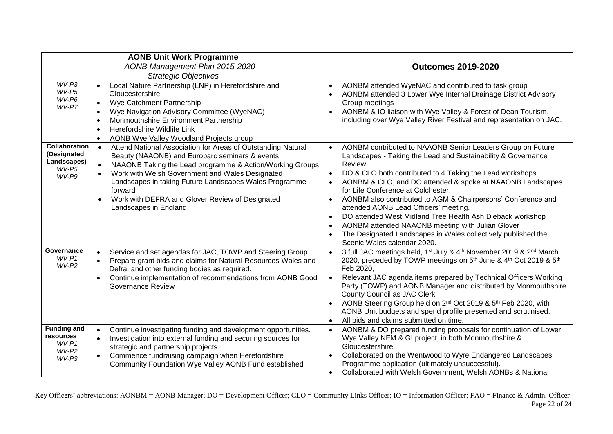| <b>AONB Unit Work Programme</b><br>AONB Management Plan 2015-2020<br><b>Strategic Objectives</b>                                                                                                                                                                                                                                                                                                                                                                                                                                  |                                                                                                                                                                                                                                                                                                                                                    | <b>Outcomes 2019-2020</b>                                                                                                                                                                                                                                                                                                                                                                                                                                                                                                                                                                                           |  |
|-----------------------------------------------------------------------------------------------------------------------------------------------------------------------------------------------------------------------------------------------------------------------------------------------------------------------------------------------------------------------------------------------------------------------------------------------------------------------------------------------------------------------------------|----------------------------------------------------------------------------------------------------------------------------------------------------------------------------------------------------------------------------------------------------------------------------------------------------------------------------------------------------|---------------------------------------------------------------------------------------------------------------------------------------------------------------------------------------------------------------------------------------------------------------------------------------------------------------------------------------------------------------------------------------------------------------------------------------------------------------------------------------------------------------------------------------------------------------------------------------------------------------------|--|
| $WV-P3$<br>WV-P5<br>WV-P6<br>WV-P7                                                                                                                                                                                                                                                                                                                                                                                                                                                                                                | Local Nature Partnership (LNP) in Herefordshire and<br>$\bullet$<br>Gloucestershire<br>Wye Catchment Partnership<br>$\bullet$<br>Wye Navigation Advisory Committee (WyeNAC)<br>$\bullet$<br>Monmouthshire Environment Partnership<br>$\bullet$<br>Herefordshire Wildlife Link<br>$\bullet$<br>AONB Wye Valley Woodland Projects group<br>$\bullet$ | AONBM attended WyeNAC and contributed to task group<br>AONBM attended 3 Lower Wye Internal Drainage District Advisory<br>Group meetings<br>AONBM & IO liaison with Wye Valley & Forest of Dean Tourism,<br>including over Wye Valley River Festival and representation on JAC.                                                                                                                                                                                                                                                                                                                                      |  |
| <b>Collaboration</b><br>Attend National Association for Areas of Outstanding Natural<br>(Designated<br>Beauty (NAAONB) and Europarc seminars & events<br>Landscapes)<br>NAAONB Taking the Lead programme & Action/Working Groups<br>Review<br>$\bullet$<br>WV-P5<br>Work with Welsh Government and Wales Designated<br>$\bullet$<br>$\bullet$<br>WV-P9<br>Landscapes in taking Future Landscapes Wales Programme<br>forward<br>Work with DEFRA and Glover Review of Designated<br>Landscapes in England<br>$\bullet$<br>$\bullet$ |                                                                                                                                                                                                                                                                                                                                                    | AONBM contributed to NAAONB Senior Leaders Group on Future<br>Landscapes - Taking the Lead and Sustainability & Governance<br>DO & CLO both contributed to 4 Taking the Lead workshops<br>AONBM & CLO, and DO attended & spoke at NAAONB Landscapes<br>for Life Conference at Colchester.<br>AONBM also contributed to AGM & Chairpersons' Conference and<br>attended AONB Lead Officers' meeting.<br>DO attended West Midland Tree Health Ash Dieback workshop<br>AONBM attended NAAONB meeting with Julian Glover<br>The Designated Landscapes in Wales collectively published the<br>Scenic Wales calendar 2020. |  |
| Governance<br>$WV-P1$<br>WV-P2                                                                                                                                                                                                                                                                                                                                                                                                                                                                                                    | Service and set agendas for JAC, TOWP and Steering Group<br>$\bullet$<br>Prepare grant bids and claims for Natural Resources Wales and<br>$\bullet$<br>Defra, and other funding bodies as required.<br>Continue implementation of recommendations from AONB Good<br>$\bullet$<br><b>Governance Review</b>                                          | 3 full JAC meetings held, 1 <sup>st</sup> July & 4 <sup>th</sup> November 2019 & 2 <sup>nd</sup> March<br>2020, preceded by TOWP meetings on 5 <sup>th</sup> June & 4 <sup>th</sup> Oct 2019 & 5 <sup>th</sup><br>Feb 2020,<br>Relevant JAC agenda items prepared by Technical Officers Working<br>Party (TOWP) and AONB Manager and distributed by Monmouthshire<br>County Council as JAC Clerk<br>AONB Steering Group held on 2 <sup>nd</sup> Oct 2019 & 5 <sup>th</sup> Feb 2020, with<br>AONB Unit budgets and spend profile presented and scrutinised.<br>All bids and claims submitted on time.               |  |
| <b>Funding and</b><br>resources<br>WV-P1<br>WV-P2<br>WV-P3                                                                                                                                                                                                                                                                                                                                                                                                                                                                        | Continue investigating funding and development opportunities.<br>$\bullet$<br>Investigation into external funding and securing sources for<br>$\bullet$<br>strategic and partnership projects<br>Commence fundraising campaign when Herefordshire<br>$\bullet$<br>Community Foundation Wye Valley AONB Fund established                            | AONBM & DO prepared funding proposals for continuation of Lower<br>$\bullet$<br>Wye Valley NFM & GI project, in both Monmouthshire &<br>Gloucestershire.<br>Collaborated on the Wentwood to Wyre Endangered Landscapes<br>$\bullet$<br>Programme application (ultimately unsuccessful).<br>Collaborated with Welsh Government, Welsh AONBs & National                                                                                                                                                                                                                                                               |  |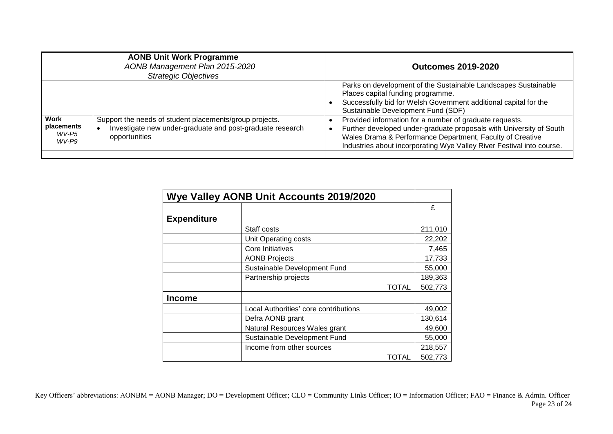| <b>AONB Unit Work Programme</b><br>AONB Management Plan 2015-2020<br><b>Strategic Objectives</b> |                                                                                                                                       | <b>Outcomes 2019-2020</b>                                                                                                                                                                                                                                            |  |
|--------------------------------------------------------------------------------------------------|---------------------------------------------------------------------------------------------------------------------------------------|----------------------------------------------------------------------------------------------------------------------------------------------------------------------------------------------------------------------------------------------------------------------|--|
|                                                                                                  |                                                                                                                                       | Parks on development of the Sustainable Landscapes Sustainable<br>Places capital funding programme.<br>Successfully bid for Welsh Government additional capital for the<br>Sustainable Development Fund (SDF)                                                        |  |
| Work<br>placements<br>WV-P5<br>WV-P9                                                             | Support the needs of student placements/group projects.<br>Investigate new under-graduate and post-graduate research<br>opportunities | Provided information for a number of graduate requests.<br>Further developed under-graduate proposals with University of South<br>Wales Drama & Performance Department, Faculty of Creative<br>Industries about incorporating Wye Valley River Festival into course. |  |
|                                                                                                  |                                                                                                                                       |                                                                                                                                                                                                                                                                      |  |

| <b>Wye Valley AONB Unit Accounts 2019/2020</b> |                                       |         |
|------------------------------------------------|---------------------------------------|---------|
|                                                |                                       | £       |
| <b>Expenditure</b>                             |                                       |         |
|                                                | Staff costs                           | 211,010 |
|                                                | Unit Operating costs                  | 22,202  |
|                                                | Core Initiatives                      | 7,465   |
|                                                | <b>AONB Projects</b>                  | 17,733  |
|                                                | Sustainable Development Fund          | 55,000  |
|                                                | Partnership projects                  | 189,363 |
|                                                | <b>TOTAL</b>                          | 502,773 |
| <b>Income</b>                                  |                                       |         |
|                                                | Local Authorities' core contributions | 49,002  |
|                                                | Defra AONB grant                      | 130,614 |
|                                                | Natural Resources Wales grant         | 49,600  |
|                                                | Sustainable Development Fund          | 55,000  |
|                                                | Income from other sources             | 218,557 |
|                                                | TOTAL                                 | 502,773 |